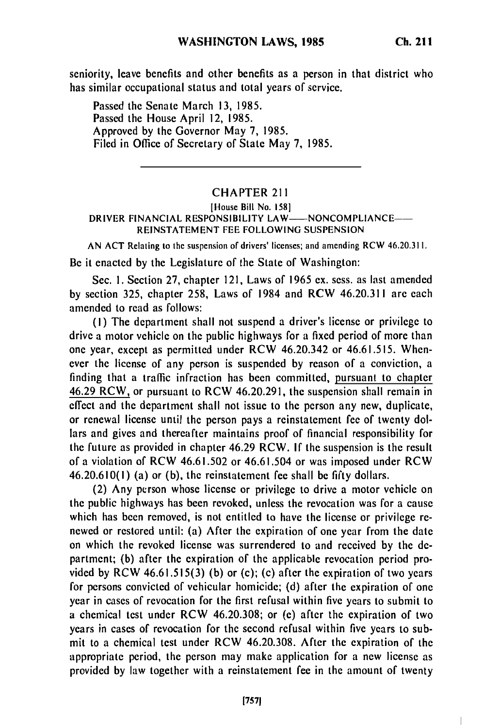seniority, leave benefits and other benefits as a person in that district who has similar occupational status and total years of service.

Passed the Senate March **13,** 1985. Passed the House April 12, **1985.** Approved **by** the Governor May **7,** 1985. Filed in Office of Secretary of State May **7, 1985.**

## CHAPTER 211

## [House Bill No. **158]** DRIVER FINANCIAL RESPONSIBILITY LAW-NONCOMPLIANCE-REINSTATEMENT FEE FOLLOWING SUSPENSION

AN ACT Relating to the suspension of drivers' licenses; and amending RCW 46.20.31 I.

Be it enacted **by** the Legislature of the State of Washington:

Sec. **I.** Section **27,** chapter 121, Laws of 1965 ex. sess. as last amended **by** section **325,** chapter 258, Laws of 1984 and RCW 46.20.311 are each amended to read as follows:

(I) The department shall not suspend a driver's license or privilege to drive a motor vehicle on the public highways for a fixed period of more than one year, except as permitted under RCW 46.20.342 or 46.61.515. Whenever the license of any person is suspended **by** reason of a conviction, a finding that a traffic infraction has been committed, pursuant to chapter 46.29 RCW, or pursuant to RCW 46.20.291, the suspension shall remain in effect and the department shall not issue to the person any new, duplicate, or renewal license until the person pays a reinstatement fee of twenty dollars and gives and thereafter maintains proof of financial responsibility for the future as provided in chapter 46.29 RCW. If the suspension is the result of a violation of RCW 46.61.502 or 46.61.504 or was imposed under RCW 46.20.610(l) (a) or (b), the reinstatement fee shall be **fifty** dollars.

(2) Any person whose license or privilege to drive a motor vehicle on the public highways has been revoked, unless the revocation was for a cause which has been removed, is not entitled to have the license or privilege renewed or restored until: (a) After the expiration of one year from the date on which the revoked license was surrendered to and received **by** the **de**partment; (b) after the expiration of the applicable revocation period provided **by** RCW 46.61.515(3) (b) or (c); (c) after the expiration of two years for persons convicted of vehicular homicide; (d) after the expiration of one year in cases of revocation for the first refusal within five years to submit to a chemical test under RCW 46.20.308; or (e) after the expiration of two years in cases of revocation for the second refusal within five years to submit to a chemical test under RCW 46.20.308. After the expiration of the appropriate period, the person may make application for a new license as provided **by** law together with a reinstatement fee in the amount of twenty